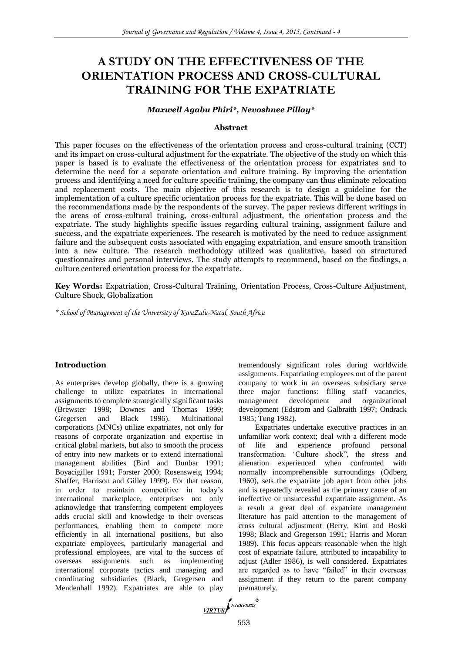# **A STUDY ON THE EFFECTIVENESS OF THE ORIENTATION PROCESS AND CROSS-CULTURAL TRAINING FOR THE EXPATRIATE**

# *Maxwell Agabu Phiri\*, Nevoshnee Pillay\**

#### **Abstract**

This paper focuses on the effectiveness of the orientation process and cross-cultural training (CCT) and its impact on cross-cultural adjustment for the expatriate. The objective of the study on which this paper is based is to evaluate the effectiveness of the orientation process for expatriates and to determine the need for a separate orientation and culture training. By improving the orientation process and identifying a need for culture specific training, the company can thus eliminate relocation and replacement costs. The main objective of this research is to design a guideline for the implementation of a culture specific orientation process for the expatriate. This will be done based on the recommendations made by the respondents of the survey. The paper reviews different writings in the areas of cross-cultural training, cross-cultural adjustment, the orientation process and the expatriate. The study highlights specific issues regarding cultural training, assignment failure and success, and the expatriate experiences. The research is motivated by the need to reduce assignment failure and the subsequent costs associated with engaging expatriation, and ensure smooth transition into a new culture. The research methodology utilized was qualitative, based on structured questionnaires and personal interviews. The study attempts to recommend, based on the findings, a culture centered orientation process for the expatriate.

**Key Words:** Expatriation, Cross-Cultural Training, Orientation Process, Cross-Culture Adjustment, Culture Shock, Globalization

*\* School of Management of the University of KwaZulu-Natal, South Africa*

#### **Introduction**

As enterprises develop globally, there is a growing challenge to utilize expatriates in international assignments to complete strategically significant tasks (Brewster 1998; Downes and Thomas 1999; Gregersen and Black 1996). Multinational corporations (MNCs) utilize expatriates, not only for reasons of corporate organization and expertise in critical global markets, but also to smooth the process of entry into new markets or to extend international management abilities (Bird and Dunbar 1991; Boyacigiller 1991; Forster 2000; Rosensweig 1994; Shaffer, Harrison and Gilley 1999). For that reason, in order to maintain competitive in today's international marketplace, enterprises not only acknowledge that transferring competent employees adds crucial skill and knowledge to their overseas performances, enabling them to compete more efficiently in all international positions, but also expatriate employees, particularly managerial and professional employees, are vital to the success of overseas assignments such as implementing international corporate tactics and managing and coordinating subsidiaries (Black, Gregersen and Mendenhall 1992). Expatriates are able to play tremendously significant roles during worldwide assignments. Expatriating employees out of the parent company to work in an overseas subsidiary serve three major functions: filling staff vacancies, management development and organizational development (Edstrom and Galbraith 1997; Ondrack 1985; Tung 1982).

Expatriates undertake executive practices in an unfamiliar work context; deal with a different mode of life and experience profound personal transformation. 'Culture shock", the stress and alienation experienced when confronted with normally incomprehensible surroundings (Odberg 1960), sets the expatriate job apart from other jobs and is repeatedly revealed as the primary cause of an ineffective or unsuccessful expatriate assignment. As a result a great deal of expatriate management literature has paid attention to the management of cross cultural adjustment (Berry, Kim and Boski 1998; Black and Gregerson 1991; Harris and Moran 1989). This focus appears reasonable when the high cost of expatriate failure, attributed to incapability to adjust (Adler 1986), is well considered. Expatriates are regarded as to have "failed" in their overseas assignment if they return to the parent company prematurely.

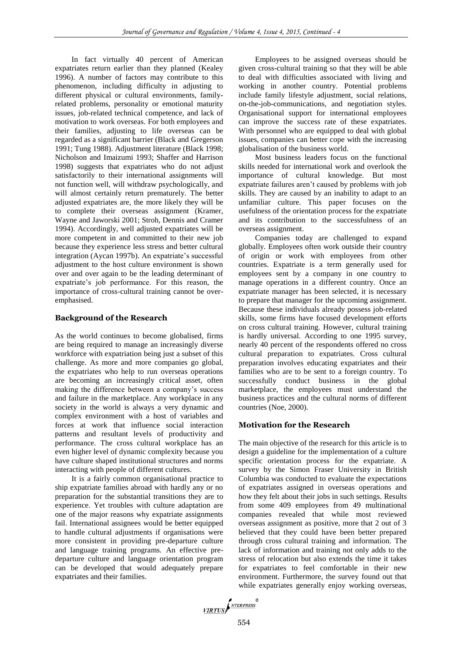In fact virtually 40 percent of American expatriates return earlier than they planned (Kealey 1996). A number of factors may contribute to this phenomenon, including difficulty in adjusting to different physical or cultural environments, familyrelated problems, personality or emotional maturity issues, job-related technical competence, and lack of motivation to work overseas. For both employees and their families, adjusting to life overseas can be regarded as a significant barrier (Black and Gregerson 1991; Tung 1988). Adjustment literature (Black 1998; Nicholson and Imaizumi 1993; Shaffer and Harrison 1998) suggests that expatriates who do not adjust satisfactorily to their international assignments will not function well, will withdraw psychologically, and will almost certainly return prematurely. The better adjusted expatriates are, the more likely they will be to complete their overseas assignment (Kramer, Wayne and Jaworski 2001; Stroh, Dennis and Cramer 1994). Accordingly, well adjusted expatriates will be more competent in and committed to their new job because they experience less stress and better cultural integration (Aycan 1997b). An expatriate's successful adjustment to the host culture environment is shown over and over again to be the leading determinant of expatriate's job performance. For this reason, the importance of cross-cultural training cannot be overemphasised.

## **Background of the Research**

As the world continues to become globalised, firms are being required to manage an increasingly diverse workforce with expatriation being just a subset of this challenge. As more and more companies go global, the expatriates who help to run overseas operations are becoming an increasingly critical asset, often making the difference between a company's success and failure in the marketplace. Any workplace in any society in the world is always a very dynamic and complex environment with a host of variables and forces at work that influence social interaction patterns and resultant levels of productivity and performance. The cross cultural workplace has an even higher level of dynamic complexity because you have culture shaped institutional structures and norms interacting with people of different cultures.

It is a fairly common organisational practice to ship expatriate families abroad with hardly any or no preparation for the substantial transitions they are to experience. Yet troubles with culture adaptation are one of the major reasons why expatriate assignments fail. International assignees would be better equipped to handle cultural adjustments if organisations were more consistent in providing pre-departure culture and language training programs. An effective predeparture culture and language orientation program can be developed that would adequately prepare expatriates and their families.

Employees to be assigned overseas should be given cross-cultural training so that they will be able to deal with difficulties associated with living and working in another country. Potential problems include family lifestyle adjustment, social relations, on-the-job-communications, and negotiation styles. Organisational support for international employees can improve the success rate of these expatriates. With personnel who are equipped to deal with global issues, companies can better cope with the increasing globalisation of the business world.

Most business leaders focus on the functional skills needed for international work and overlook the importance of cultural knowledge. But most expatriate failures aren't caused by problems with job skills. They are caused by an inability to adapt to an unfamiliar culture. This paper focuses on the usefulness of the orientation process for the expatriate and its contribution to the successfulness of an overseas assignment.

Companies today are challenged to expand globally. Employees often work outside their country of origin or work with employees from other countries. Expatriate is a term generally used for employees sent by a company in one country to manage operations in a different country. Once an expatriate manager has been selected, it is necessary to prepare that manager for the upcoming assignment. Because these individuals already possess job-related skills, some firms have focused development efforts on cross cultural training. However, cultural training is hardly universal. According to one 1995 survey, nearly 40 percent of the respondents offered no cross cultural preparation to expatriates. Cross cultural preparation involves educating expatriates and their families who are to be sent to a foreign country. To successfully conduct business in the global marketplace, the employees must understand the business practices and the cultural norms of different countries (Noe, 2000).

# **Motivation for the Research**

The main objective of the research for this article is to design a guideline for the implementation of a culture specific orientation process for the expatriate. A survey by the Simon Fraser University in British Columbia was conducted to evaluate the expectations of expatriates assigned in overseas operations and how they felt about their jobs in such settings. Results from some 409 employees from 49 multinational companies revealed that while most reviewed overseas assignment as positive, more that 2 out of 3 believed that they could have been better prepared through cross cultural training and information. The lack of information and training not only adds to the stress of relocation but also extends the time it takes for expatriates to feel comfortable in their new environment. Furthermore, the survey found out that while expatriates generally enjoy working overseas,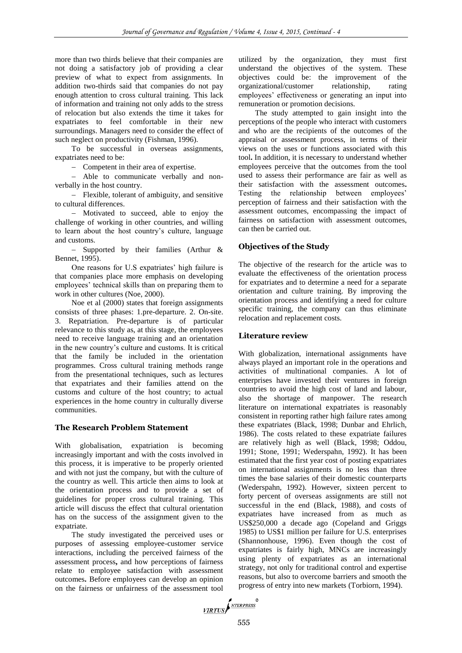more than two thirds believe that their companies are not doing a satisfactory job of providing a clear preview of what to expect from assignments. In addition two-thirds said that companies do not pay enough attention to cross cultural training. This lack of information and training not only adds to the stress of relocation but also extends the time it takes for expatriates to feel comfortable in their new surroundings. Managers need to consider the effect of such neglect on productivity (Fishman, 1996).

To be successful in overseas assignments, expatriates need to be:

- Competent in their area of expertise.

 Able to communicate verbally and nonverbally in the host country.

 Flexible, tolerant of ambiguity, and sensitive to cultural differences.

 Motivated to succeed, able to enjoy the challenge of working in other countries, and willing to learn about the host country's culture, language and customs.

- Supported by their families (Arthur & Bennet, 1995).

One reasons for U.S expatriates' high failure is that companies place more emphasis on developing employees' technical skills than on preparing them to work in other cultures (Noe, 2000).

Noe et al (2000) states that foreign assignments consists of three phases: 1.pre-departure. 2. On-site. 3. Repatriation. Pre-departure is of particular relevance to this study as, at this stage, the employees need to receive language training and an orientation in the new country's culture and customs. It is critical that the family be included in the orientation programmes. Cross cultural training methods range from the presentational techniques, such as lectures that expatriates and their families attend on the customs and culture of the host country; to actual experiences in the home country in culturally diverse communities.

## **The Research Problem Statement**

With globalisation, expatriation is becoming increasingly important and with the costs involved in this process, it is imperative to be properly oriented and with not just the company, but with the culture of the country as well. This article then aims to look at the orientation process and to provide a set of guidelines for proper cross cultural training. This article will discuss the effect that cultural orientation has on the success of the assignment given to the expatriate.

The study investigated the perceived uses or purposes of assessing employee-customer service interactions, including the perceived fairness of the assessment process**,** and how perceptions of fairness relate to employee satisfaction with assessment outcomes**.** Before employees can develop an opinion on the fairness or unfairness of the assessment tool utilized by the organization, they must first understand the objectives of the system. These objectives could be: the improvement of the organizational/customer relationship, rating employees' effectiveness or generating an input into remuneration or promotion decisions.

The study attempted to gain insight into the perceptions of the people who interact with customers and who are the recipients of the outcomes of the appraisal or assessment process, in terms of their views on the uses or functions associated with this tool**.** In addition, it is necessary to understand whether employees perceive that the outcomes from the tool used to assess their performance are fair as well as their satisfaction with the assessment outcomes**.**  Testing the relationship between employees' perception of fairness and their satisfaction with the assessment outcomes, encompassing the impact of fairness on satisfaction with assessment outcomes, can then be carried out.

# **Objectives of the Study**

The objective of the research for the article was to evaluate the effectiveness of the orientation process for expatriates and to determine a need for a separate orientation and culture training. By improving the orientation process and identifying a need for culture specific training, the company can thus eliminate relocation and replacement costs.

## **Literature review**

With globalization, international assignments have always played an important role in the operations and activities of multinational companies. A lot of enterprises have invested their ventures in foreign countries to avoid the high cost of land and labour, also the shortage of manpower. The research literature on international expatriates is reasonably consistent in reporting rather high failure rates among these expatriates (Black, 1998; Dunbar and Ehrlich, 1986). The costs related to these expatriate failures are relatively high as well (Black, 1998; Oddou, 1991; Stone, 1991; Wederspahn, 1992). It has been estimated that the first year cost of posting expatriates on international assignments is no less than three times the base salaries of their domestic counterparts (Wederspahn, 1992). However, sixteen percent to forty percent of overseas assignments are still not successful in the end (Black, 1988), and costs of expatriates have increased from as much as US\$250,000 a decade ago (Copeland and Griggs 1985) to US\$1 million per failure for U.S. enterprises (Shannonhouse, 1996). Even though the cost of expatriates is fairly high, MNCs are increasingly using plenty of expatriates as an international strategy, not only for traditional control and expertise reasons, but also to overcome barriers and smooth the progress of entry into new markets (Torbiorn, 1994).

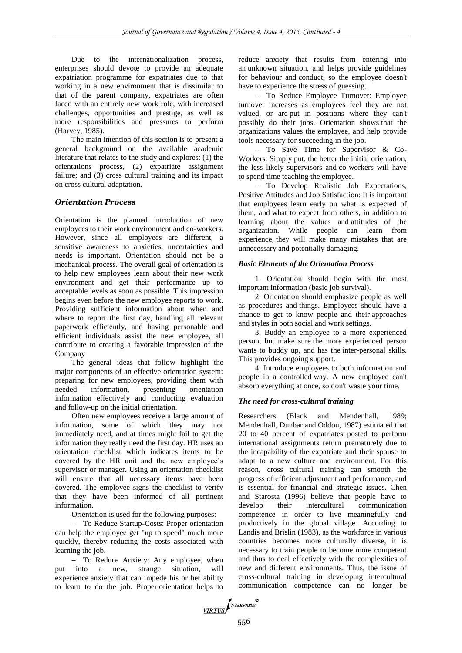Due to the internationalization process, enterprises should devote to provide an adequate expatriation programme for expatriates due to that working in a new environment that is dissimilar to that of the parent company, expatriates are often faced with an entirely new work role, with increased challenges, opportunities and prestige, as well as more responsibilities and pressures to perform (Harvey, 1985).

The main intention of this section is to present a general background on the available academic literature that relates to the study and explores: (1) the orientations process, (2) expatriate assignment failure; and (3) cross cultural training and its impact on cross cultural adaptation.

## *Orientation Process*

Orientation is the planned introduction of new employees to their work environment and co-workers. However, since all employees are different, a sensitive awareness to anxieties, uncertainties and needs is important. Orientation should not be a mechanical process. The overall goal of orientation is to help new employees learn about their new work environment and get their performance up to acceptable levels as soon as possible. This impression begins even before the new employee reports to work. Providing sufficient information about when and where to report the first day, handling all relevant paperwork efficiently, and having personable and efficient individuals assist the new employee, all contribute to creating a favorable impression of the Company

The general ideas that follow highlight the major components of an effective orientation system: preparing for new employees, providing them with needed information, presenting orientation information effectively and conducting evaluation and follow-up on the initial orientation.

Often new employees receive a large amount of information, some of which they may not immediately need, and at times might fail to get the information they really need the first day. HR uses an orientation checklist which indicates items to be covered by the HR unit and the new employee's supervisor or manager. Using an orientation checklist will ensure that all necessary items have been covered. The employee signs the checklist to verify that they have been informed of all pertinent information.

Orientation is used for the following purposes:

- To Reduce Startup-Costs: Proper orientation can help the employee get "up to speed" much more quickly, thereby reducing the costs associated with learning the job.

- To Reduce Anxiety: Any employee, when put into a new, strange situation, will experience anxiety that can impede his or her ability to learn to do the job. Proper orientation helps to

reduce anxiety that results from entering into an unknown situation, and helps provide guidelines for behaviour and conduct, so the employee doesn't have to experience the stress of guessing.

- To Reduce Employee Turnover: Employee turnover increases as employees feel they are not valued, or are put in positions where they can't possibly do their jobs. Orientation shows that the organizations values the employee, and help provide tools necessary for succeeding in the job.

 To Save Time for Supervisor & Co-Workers: Simply put, the better the initial orientation, the less likely supervisors and co-workers will have to spend time teaching the employee.

- To Develop Realistic Job Expectations, Positive Attitudes and Job Satisfaction: It is important that employees learn early on what is expected of them, and what to expect from others, in addition to learning about the values and attitudes of the organization. While people can learn from experience, they will make many mistakes that are unnecessary and potentially damaging.

## *Basic Elements of the Orientation Process*

1. Orientation should begin with the most important information (basic job survival).

2. Orientation should emphasize people as well as procedures and things. Employees should have a chance to get to know people and their approaches and styles in both social and work settings.

3. Buddy an employee to a more experienced person, but make sure the more experienced person wants to buddy up, and has the inter-personal skills. This provides ongoing support.

4. Introduce employees to both information and people in a controlled way. A new employee can't absorb everything at once, so don't waste your time.

## *The need for cross-cultural training*

Researchers (Black and Mendenhall, 1989; Mendenhall, Dunbar and Oddou, 1987) estimated that 20 to 40 percent of expatriates posted to perform international assignments return prematurely due to the incapability of the expatriate and their spouse to adapt to a new culture and environment. For this reason, cross cultural training can smooth the progress of efficient adjustment and performance, and is essential for financial and strategic issues. Chen and Starosta (1996) believe that people have to develop their intercultural communication competence in order to live meaningfully and productively in the global village. According to Landis and Brislin (1983), as the workforce in various countries becomes more culturally diverse, it is necessary to train people to become more competent and thus to deal effectively with the complexities of new and different environments. Thus, the issue of cross-cultural training in developing intercultural communication competence can no longer be

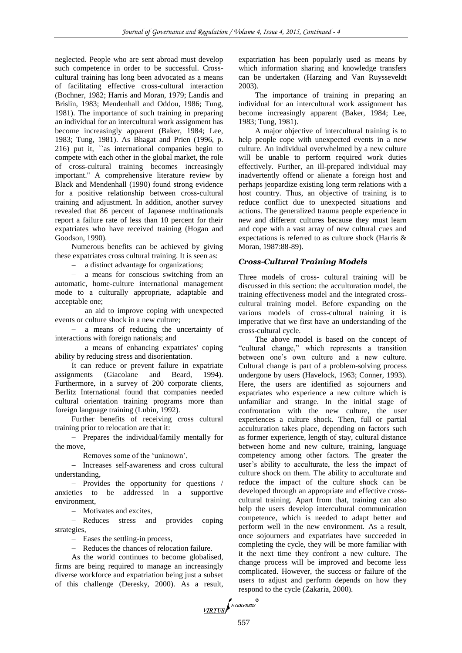neglected. People who are sent abroad must develop such competence in order to be successful. Crosscultural training has long been advocated as a means of facilitating effective cross-cultural interaction (Bochner, 1982; Harris and Moran, 1979; Landis and Brislin, 1983; Mendenhall and Oddou, 1986; Tung, 1981). The importance of such training in preparing an individual for an intercultural work assignment has become increasingly apparent (Baker, 1984; Lee, 1983; Tung, 1981). As Bhagat and Prien (1996, p. 216) put it, ``as international companies begin to compete with each other in the global market, the role of cross-cultural training becomes increasingly important.'' A comprehensive literature review by Black and Mendenhall (1990) found strong evidence for a positive relationship between cross-cultural training and adjustment. In addition, another survey revealed that 86 percent of Japanese multinationals report a failure rate of less than 10 percent for their expatriates who have received training (Hogan and Goodson, 1990).

Numerous benefits can be achieved by giving these expatriates cross cultural training. It is seen as:

a distinct advantage for organizations;

 a means for conscious switching from an automatic, home-culture international management mode to a culturally appropriate, adaptable and acceptable one;

- an aid to improve coping with unexpected events or culture shock in a new culture;

 a means of reducing the uncertainty of interactions with foreign nationals; and

 a means of enhancing expatriates' coping ability by reducing stress and disorientation.

It can reduce or prevent failure in expatriate assignments (Giacolane and Beard, 1994). Furthermore, in a survey of 200 corporate clients, Berlitz International found that companies needed cultural orientation training programs more than foreign language training (Lubin, 1992).

Further benefits of receiving cross cultural training prior to relocation are that it:

- Prepares the individual/family mentally for the move,

- Removes some of the 'unknown',

- Increases self-awareness and cross cultural understanding,

- Provides the opportunity for questions / anxieties to be addressed in a supportive environment,

- Motivates and excites,

- Reduces stress and provides coping strategies,

- Eases the settling-in process,

- Reduces the chances of relocation failure.

As the world continues to become globalised, firms are being required to manage an increasingly diverse workforce and expatriation being just a subset of this challenge (Deresky, 2000). As a result,

expatriation has been popularly used as means by which information sharing and knowledge transfers can be undertaken (Harzing and Van Ruysseveldt 2003).

The importance of training in preparing an individual for an intercultural work assignment has become increasingly apparent (Baker, 1984; Lee, 1983; Tung, 1981).

A major objective of intercultural training is to help people cope with unexpected events in a new culture. An individual overwhelmed by a new culture will be unable to perform required work duties effectively. Further, an ill-prepared individual may inadvertently offend or alienate a foreign host and perhaps jeopardize existing long term relations with a host country. Thus, an objective of training is to reduce conflict due to unexpected situations and actions. The generalized trauma people experience in new and different cultures because they must learn and cope with a vast array of new cultural cues and expectations is referred to as culture shock (Harris & Moran, 1987:88-89).

# *Cross-Cultural Training Models*

Three models of cross- cultural training will be discussed in this section: the acculturation model, the training effectiveness model and the integrated crosscultural training model. Before expanding on the various models of cross-cultural training it is imperative that we first have an understanding of the cross-cultural cycle.

The above model is based on the concept of "cultural change," which represents a transition between one's own culture and a new culture. Cultural change is part of a problem-solving process undergone by users (Havelock, 1963; Conner, 1993). Here, the users are identified as sojourners and expatriates who experience a new culture which is unfamiliar and strange. In the initial stage of confrontation with the new culture, the user experiences a culture shock. Then, full or partial acculturation takes place, depending on factors such as former experience, length of stay, cultural distance between home and new culture, training, language competency among other factors. The greater the user's ability to acculturate, the less the impact of culture shock on them. The ability to acculturate and reduce the impact of the culture shock can be developed through an appropriate and effective crosscultural training. Apart from that, training can also help the users develop intercultural communication competence, which is needed to adapt better and perform well in the new environment. As a result, once sojourners and expatriates have succeeded in completing the cycle, they will be more familiar with it the next time they confront a new culture. The change process will be improved and become less complicated. However, the success or failure of the users to adjust and perform depends on how they respond to the cycle (Zakaria, 2000).

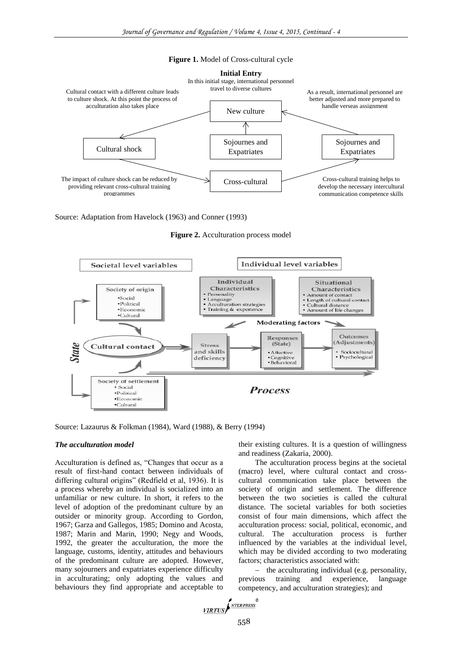



Source: Adaptation from Havelock (1963) and Conner (1993)

**Figure 2.** Acculturation process model



Source: Lazaurus & Folkman (1984), Ward (1988), & Berry (1994)

## *The acculturation model*

Acculturation is defined as, "Changes that occur as a result of first-hand contact between individuals of differing cultural origins" (Redfield et al, 1936). It is a process whereby an individual is socialized into an unfamiliar or new culture. In short, it refers to the level of adoption of the predominant culture by an outsider or minority group. According to Gordon, 1967; Garza and Gallegos, 1985; Domino and Acosta, 1987; Marin and Marin, 1990; Negy and Woods, 1992, the greater the acculturation, the more the language, customs, identity, attitudes and behaviours of the predominant culture are adopted. However, many sojourners and expatriates experience difficulty in acculturating; only adopting the values and behaviours they find appropriate and acceptable to

their existing cultures. It is a question of willingness and readiness (Zakaria, 2000).

The acculturation process begins at the societal (macro) level, where cultural contact and crosscultural communication take place between the society of origin and settlement. The difference between the two societies is called the cultural distance. The societal variables for both societies consist of four main dimensions, which affect the acculturation process: social, political, economic, and cultural. The acculturation process is further influenced by the variables at the individual level, which may be divided according to two moderating factors; characteristics associated with:

 the acculturating individual (e.g. personality, previous training and experience, language competency, and acculturation strategies); and

$$
\underbrace{\textit{VIRTUS}}\textit{f}^{\textit{NTERPRESS}}_{\textit{MTERPRESS}}
$$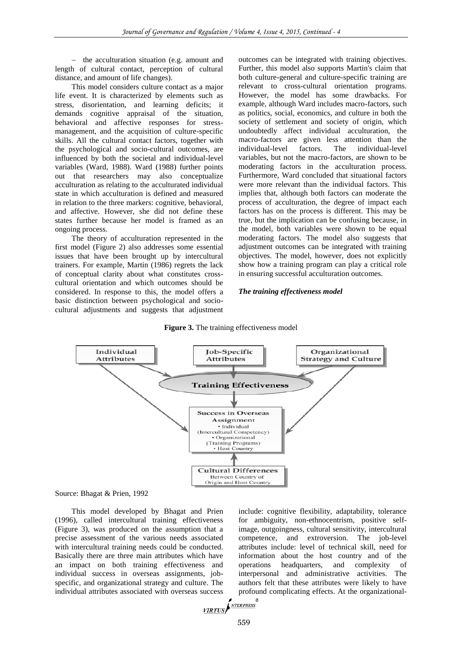- the acculturation situation (e.g. amount and length of cultural contact, perception of cultural distance, and amount of life changes).

This model considers culture contact as a major life event. It is characterized by elements such as stress, disorientation, and learning deficits; it demands cognitive appraisal of the situation, behavioral and affective responses for stressmanagement, and the acquisition of culture-specific skills. All the cultural contact factors, together with the psychological and socio-cultural outcomes, are influenced by both the societal and individual-level variables (Ward, 1988). Ward (1988) further points out that researchers may also conceptualize acculturation as relating to the acculturated individual state in which acculturation is defined and measured in relation to the three markers: cognitive, behavioral, and affective. However, she did not define these states further because her model is framed as an ongoing process.

The theory of acculturation represented in the first model (Figure 2) also addresses some essential issues that have been brought up by intercultural trainers. For example, Martin (1986) regrets the lack of conceptual clarity about what constitutes crosscultural orientation and which outcomes should be considered. In response to this, the model offers a basic distinction between psychological and sociocultural adjustments and suggests that adjustment

outcomes can be integrated with training objectives. Further, this model also supports Martin's claim that both culture-general and culture-specific training are relevant to cross-cultural orientation programs. However, the model has some drawbacks. For example, although Ward includes macro-factors, such as politics, social, economics, and culture in both the society of settlement and society of origin, which undoubtedly affect individual acculturation, the macro-factors are given less attention than the individual-level factors. The individual-level variables, but not the macro-factors, are shown to be moderating factors in the acculturation process. Furthermore, Ward concluded that situational factors were more relevant than the individual factors. This implies that, although both factors can moderate the process of acculturation, the degree of impact each factors has on the process is different. This may be true, but the implication can be confusing because, in the model, both variables were shown to be equal moderating factors. The model also suggests that adjustment outcomes can be integrated with training objectives. The model, however, does not explicitly show how a training program can play a critical role in ensuring successful acculturation outcomes.

#### *The training effectiveness model*

#### **Figure 3.** The training effectiveness model



Source: Bhagat & Prien, 1992

This model developed by Bhagat and Prien (1996), called intercultural training effectiveness (Figure 3), was produced on the assumption that a precise assessment of the various needs associated with intercultural training needs could be conducted. Basically there are three main attributes which have an impact on both training effectiveness and individual success in overseas assignments, jobspecific, and organizational strategy and culture. The individual attributes associated with overseas success

include: cognitive flexibility, adaptability, tolerance for ambiguity, non-ethnocentrism, positive selfimage, outgoingness, cultural sensitivity, intercultural competence, and extroversion. The job-level attributes include: level of technical skill, need for information about the host country and of the operations headquarters, and complexity of interpersonal and administrative activities. The authors felt that these attributes were likely to have profound complicating effects. At the organizational-

**YIRTUS** 
$$
\left\{\frac{NTERPRES}{NTERPRES}\right\}
$$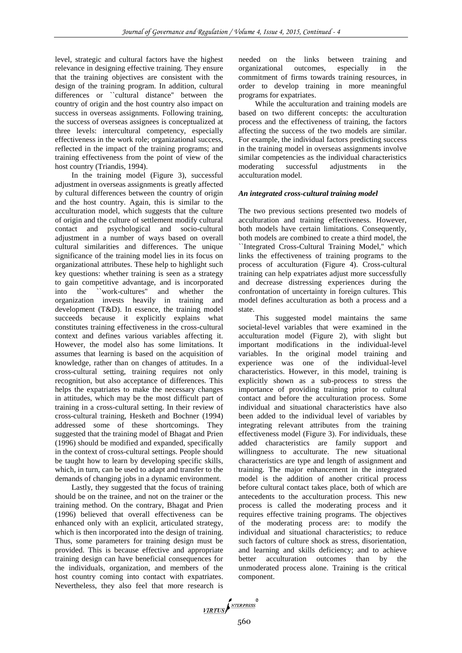level, strategic and cultural factors have the highest relevance in designing effective training. They ensure that the training objectives are consistent with the design of the training program. In addition, cultural differences or ``cultural distance'' between the country of origin and the host country also impact on success in overseas assignments. Following training, the success of overseas assignees is conceptualized at three levels: intercultural competency, especially effectiveness in the work role; organizational success, reflected in the impact of the training programs; and training effectiveness from the point of view of the host country (Triandis, 1994).

In the training model (Figure 3), successful adjustment in overseas assignments is greatly affected by cultural differences between the country of origin and the host country. Again, this is similar to the acculturation model, which suggests that the culture of origin and the culture of settlement modify cultural contact and psychological and socio-cultural adjustment in a number of ways based on overall cultural similarities and differences. The unique significance of the training model lies in its focus on organizational attributes. These help to highlight such key questions: whether training is seen as a strategy to gain competitive advantage, and is incorporated into the ``work-cultures'' and whether the organization invests heavily in training and development (T&D). In essence, the training model succeeds because it explicitly explains what constitutes training effectiveness in the cross-cultural context and defines various variables affecting it. However, the model also has some limitations. It assumes that learning is based on the acquisition of knowledge, rather than on changes of attitudes. In a cross-cultural setting, training requires not only recognition, but also acceptance of differences. This helps the expatriates to make the necessary changes in attitudes, which may be the most difficult part of training in a cross-cultural setting. In their review of cross-cultural training, Hesketh and Bochner (1994) addressed some of these shortcomings. They suggested that the training model of Bhagat and Prien (1996) should be modified and expanded, specifically in the context of cross-cultural settings. People should be taught how to learn by developing specific skills, which, in turn, can be used to adapt and transfer to the demands of changing jobs in a dynamic environment.

Lastly, they suggested that the focus of training should be on the trainee, and not on the trainer or the training method. On the contrary, Bhagat and Prien (1996) believed that overall effectiveness can be enhanced only with an explicit, articulated strategy, which is then incorporated into the design of training. Thus, some parameters for training design must be provided. This is because effective and appropriate training design can have beneficial consequences for the individuals, organization, and members of the host country coming into contact with expatriates. Nevertheless, they also feel that more research is

needed on the links between training and organizational outcomes, especially in the commitment of firms towards training resources, in order to develop training in more meaningful programs for expatriates.

While the acculturation and training models are based on two different concepts: the acculturation process and the effectiveness of training, the factors affecting the success of the two models are similar. For example, the individual factors predicting success in the training model in overseas assignments involve similar competencies as the individual characteristics moderating successful adjustments in the acculturation model.

#### *An integrated cross-cultural training model*

The two previous sections presented two models of acculturation and training effectiveness. However, both models have certain limitations. Consequently, both models are combined to create a third model, the ``Integrated Cross-Cultural Training Model,'' which links the effectiveness of training programs to the process of acculturation (Figure 4). Cross-cultural training can help expatriates adjust more successfully and decrease distressing experiences during the confrontation of uncertainty in foreign cultures. This model defines acculturation as both a process and a state.

This suggested model maintains the same societal-level variables that were examined in the acculturation model (Figure 2), with slight but important modifications in the individual-level variables. In the original model training and experience was one of the individual-level characteristics. However, in this model, training is explicitly shown as a sub-process to stress the importance of providing training prior to cultural contact and before the acculturation process. Some individual and situational characteristics have also been added to the individual level of variables by integrating relevant attributes from the training effectiveness model (Figure 3). For individuals, these added characteristics are family support and willingness to acculturate. The new situational characteristics are type and length of assignment and training. The major enhancement in the integrated model is the addition of another critical process before cultural contact takes place, both of which are antecedents to the acculturation process. This new process is called the moderating process and it requires effective training programs. The objectives of the moderating process are: to modify the individual and situational characteristics; to reduce such factors of culture shock as stress, disorientation, and learning and skills deficiency; and to achieve better acculturation outcomes than by the unmoderated process alone. Training is the critical component.

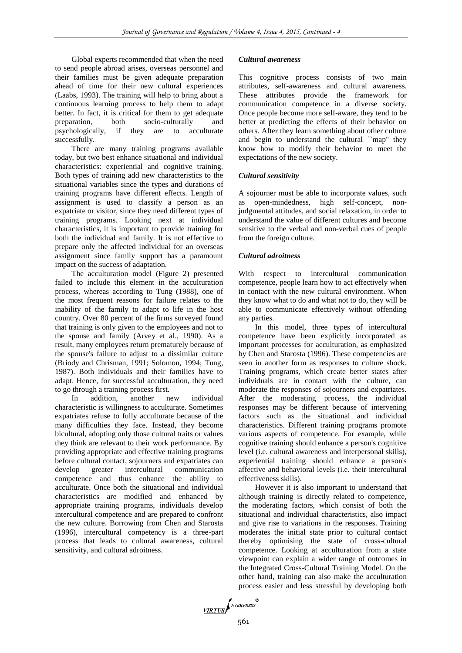Global experts recommended that when the need to send people abroad arises, overseas personnel and their families must be given adequate preparation ahead of time for their new cultural experiences (Laabs, 1993). The training will help to bring about a continuous learning process to help them to adapt better. In fact, it is critical for them to get adequate preparation, both socio-culturally and psychologically, if they are to acculturate successfully.

There are many training programs available today, but two best enhance situational and individual characteristics: experiential and cognitive training. Both types of training add new characteristics to the situational variables since the types and durations of training programs have different effects. Length of assignment is used to classify a person as an expatriate or visitor, since they need different types of training programs. Looking next at individual characteristics, it is important to provide training for both the individual and family. It is not effective to prepare only the affected individual for an overseas assignment since family support has a paramount impact on the success of adaptation.

The acculturation model (Figure 2) presented failed to include this element in the acculturation process, whereas according to Tung (1988), one of the most frequent reasons for failure relates to the inability of the family to adapt to life in the host country. Over 80 percent of the firms surveyed found that training is only given to the employees and not to the spouse and family (Arvey et al., 1990). As a result, many employees return prematurely because of the spouse's failure to adjust to a dissimilar culture (Briody and Chrisman, 1991; Solomon, 1994; Tung, 1987). Both individuals and their families have to adapt. Hence, for successful acculturation, they need to go through a training process first.

In addition, another new individual characteristic is willingness to acculturate. Sometimes expatriates refuse to fully acculturate because of the many difficulties they face. Instead, they become bicultural, adopting only those cultural traits or values they think are relevant to their work performance. By providing appropriate and effective training programs before cultural contact, sojourners and expatriates can develop greater intercultural communication competence and thus enhance the ability to acculturate. Once both the situational and individual characteristics are modified and enhanced by appropriate training programs, individuals develop intercultural competence and are prepared to confront the new culture. Borrowing from Chen and Starosta (1996), intercultural competency is a three-part process that leads to cultural awareness, cultural sensitivity, and cultural adroitness.

#### *Cultural awareness*

This cognitive process consists of two main attributes, self-awareness and cultural awareness. These attributes provide the framework for communication competence in a diverse society. Once people become more self-aware, they tend to be better at predicting the effects of their behavior on others. After they learn something about other culture and begin to understand the cultural ``map'' they know how to modify their behavior to meet the expectations of the new society.

#### *Cultural sensitivity*

A sojourner must be able to incorporate values, such as open-mindedness, high self-concept, nonjudgmental attitudes, and social relaxation, in order to understand the value of different cultures and become sensitive to the verbal and non-verbal cues of people from the foreign culture.

## *Cultural adroitness*

With respect to intercultural communication competence, people learn how to act effectively when in contact with the new cultural environment. When they know what to do and what not to do, they will be able to communicate effectively without offending any parties.

In this model, three types of intercultural competence have been explicitly incorporated as important processes for acculturation, as emphasized by Chen and Starosta (1996). These competencies are seen in another form as responses to culture shock. Training programs, which create better states after individuals are in contact with the culture, can moderate the responses of sojourners and expatriates. After the moderating process, the individual responses may be different because of intervening factors such as the situational and individual characteristics. Different training programs promote various aspects of competence. For example, while cognitive training should enhance a person's cognitive level (i.e. cultural awareness and interpersonal skills), experiential training should enhance a person's affective and behavioral levels (i.e. their intercultural effectiveness skills).

However it is also important to understand that although training is directly related to competence, the moderating factors, which consist of both the situational and individual characteristics, also impact and give rise to variations in the responses. Training moderates the initial state prior to cultural contact thereby optimising the state of cross-cultural competence. Looking at acculturation from a state viewpoint can explain a wider range of outcomes in the Integrated Cross-Cultural Training Model. On the other hand, training can also make the acculturation process easier and less stressful by developing both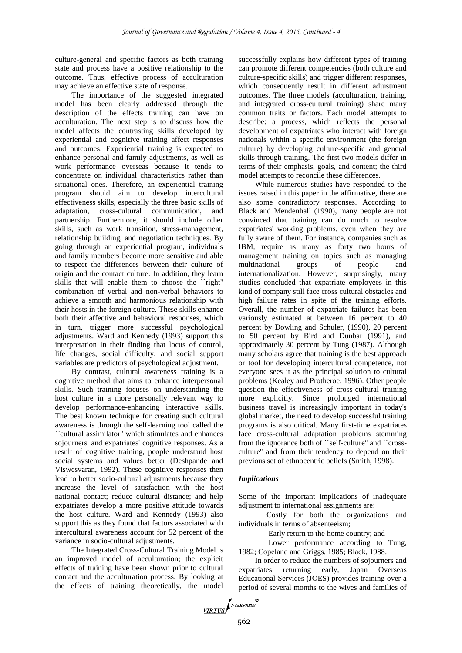culture-general and specific factors as both training state and process have a positive relationship to the outcome. Thus, effective process of acculturation may achieve an effective state of response.

The importance of the suggested integrated model has been clearly addressed through the description of the effects training can have on acculturation. The next step is to discuss how the model affects the contrasting skills developed by experiential and cognitive training affect responses and outcomes. Experiential training is expected to enhance personal and family adjustments, as well as work performance overseas because it tends to concentrate on individual characteristics rather than situational ones. Therefore, an experiential training program should aim to develop intercultural effectiveness skills, especially the three basic skills of adaptation, cross-cultural communication, and partnership. Furthermore, it should include other skills, such as work transition, stress-management, relationship building, and negotiation techniques. By going through an experiential program, individuals and family members become more sensitive and able to respect the differences between their culture of origin and the contact culture. In addition, they learn skills that will enable them to choose the ``right'' combination of verbal and non-verbal behaviors to achieve a smooth and harmonious relationship with their hosts in the foreign culture. These skills enhance both their affective and behavioral responses, which in turn, trigger more successful psychological adjustments. Ward and Kennedy (1993) support this interpretation in their finding that locus of control, life changes, social difficulty, and social support variables are predictors of psychological adjustment.

By contrast, cultural awareness training is a cognitive method that aims to enhance interpersonal skills. Such training focuses on understanding the host culture in a more personally relevant way to develop performance-enhancing interactive skills. The best known technique for creating such cultural awareness is through the self-learning tool called the ``cultural assimilator'' which stimulates and enhances sojourners' and expatriates' cognitive responses. As a result of cognitive training, people understand host social systems and values better (Deshpande and Viswesvaran, 1992). These cognitive responses then lead to better socio-cultural adjustments because they increase the level of satisfaction with the host national contact; reduce cultural distance; and help expatriates develop a more positive attitude towards the host culture. Ward and Kennedy (1993) also support this as they found that factors associated with intercultural awareness account for 52 percent of the variance in socio-cultural adjustments.

The Integrated Cross-Cultural Training Model is an improved model of acculturation; the explicit effects of training have been shown prior to cultural contact and the acculturation process. By looking at the effects of training theoretically, the model

successfully explains how different types of training can promote different competencies (both culture and culture-specific skills) and trigger different responses, which consequently result in different adjustment outcomes. The three models (acculturation, training, and integrated cross-cultural training) share many common traits or factors. Each model attempts to describe: a process, which reflects the personal development of expatriates who interact with foreign nationals within a specific environment (the foreign culture) by developing culture-specific and general skills through training. The first two models differ in terms of their emphasis, goals, and content; the third model attempts to reconcile these differences.

While numerous studies have responded to the issues raised in this paper in the affirmative, there are also some contradictory responses. According to Black and Mendenhall (1990), many people are not convinced that training can do much to resolve expatriates' working problems, even when they are fully aware of them. For instance, companies such as IBM, require as many as forty two hours of management training on topics such as managing multinational groups of people and internationalization. However, surprisingly, many studies concluded that expatriate employees in this kind of company still face cross cultural obstacles and high failure rates in spite of the training efforts. Overall, the number of expatriate failures has been variously estimated at between 16 percent to 40 percent by Dowling and Schuler, (1990), 20 percent to 50 percent by Bird and Dunbar (1991), and approximately 30 percent by Tung (1987). Although many scholars agree that training is the best approach or tool for developing intercultural competence, not everyone sees it as the principal solution to cultural problems (Kealey and Protheroe, 1996). Other people question the effectiveness of cross-cultural training more explicitly. Since prolonged international business travel is increasingly important in today's global market, the need to develop successful training programs is also critical. Many first-time expatriates face cross-cultural adaptation problems stemming from the ignorance both of ``self-culture'' and ``crossculture'' and from their tendency to depend on their previous set of ethnocentric beliefs (Smith, 1998).

## *Implications*

Some of the important implications of inadequate adjustment to international assignments are:

 Costly for both the organizations and individuals in terms of absenteeism;

- Early return to the home country; and

- Lower performance according to Tung, 1982; Copeland and Griggs, 1985; Black, 1988.

In order to reduce the numbers of sojourners and expatriates returning early, Japan Overseas Educational Services (JOES) provides training over a period of several months to the wives and families of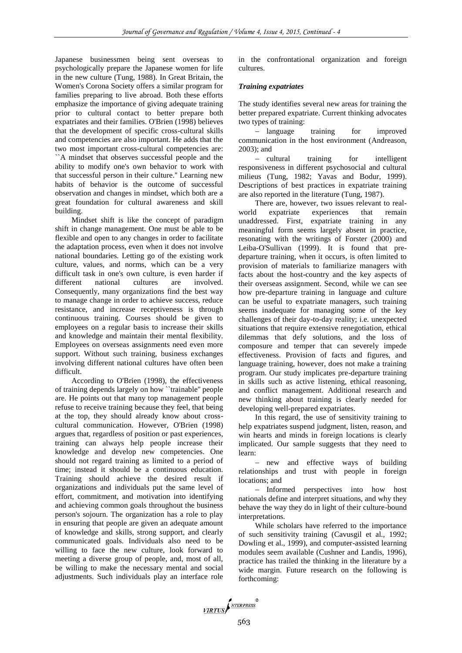Japanese businessmen being sent overseas to psychologically prepare the Japanese women for life in the new culture (Tung, 1988). In Great Britain, the Women's Corona Society offers a similar program for families preparing to live abroad. Both these efforts emphasize the importance of giving adequate training prior to cultural contact to better prepare both expatriates and their families. O'Brien (1998) believes that the development of specific cross-cultural skills and competencies are also important. He adds that the two most important cross-cultural competencies are: ``A mindset that observes successful people and the ability to modify one's own behavior to work with that successful person in their culture.'' Learning new habits of behavior is the outcome of successful observation and changes in mindset, which both are a great foundation for cultural awareness and skill building.

Mindset shift is like the concept of paradigm shift in change management. One must be able to be flexible and open to any changes in order to facilitate the adaptation process, even when it does not involve national boundaries. Letting go of the existing work culture, values, and norms, which can be a very difficult task in one's own culture, is even harder if different national cultures are involved. Consequently, many organizations find the best way to manage change in order to achieve success, reduce resistance, and increase receptiveness is through continuous training. Courses should be given to employees on a regular basis to increase their skills and knowledge and maintain their mental flexibility. Employees on overseas assignments need even more support. Without such training, business exchanges involving different national cultures have often been difficult.

According to O'Brien (1998), the effectiveness of training depends largely on how ``trainable'' people are. He points out that many top management people refuse to receive training because they feel, that being at the top, they should already know about crosscultural communication. However, O'Brien (1998) argues that, regardless of position or past experiences, training can always help people increase their knowledge and develop new competencies. One should not regard training as limited to a period of time; instead it should be a continuous education. Training should achieve the desired result if organizations and individuals put the same level of effort, commitment, and motivation into identifying and achieving common goals throughout the business person's sojourn. The organization has a role to play in ensuring that people are given an adequate amount of knowledge and skills, strong support, and clearly communicated goals. Individuals also need to be willing to face the new culture, look forward to meeting a diverse group of people, and, most of all, be willing to make the necessary mental and social adjustments. Such individuals play an interface role

in the confrontational organization and foreign cultures.

#### *Training expatriates*

The study identifies several new areas for training the better prepared expatriate. Current thinking advocates two types of training:

- language training for improved communication in the host environment (Andreason, 2003); and

- cultural training for intelligent responsiveness in different psychosocial and cultural milieus (Tung, 1982; Yavas and Bodur, 1999). Descriptions of best practices in expatriate training are also reported in the literature (Tung, 1987).

There are, however, two issues relevant to realworld expatriate experiences that remain unaddressed. First, expatriate training in any meaningful form seems largely absent in practice, resonating with the writings of Forster (2000) and Leiba-O'Sullivan (1999). It is found that predeparture training, when it occurs, is often limited to provision of materials to familiarize managers with facts about the host-country and the key aspects of their overseas assignment. Second, while we can see how pre-departure training in language and culture can be useful to expatriate managers, such training seems inadequate for managing some of the key challenges of their day-to-day reality; i.e. unexpected situations that require extensive renegotiation, ethical dilemmas that defy solutions, and the loss of composure and temper that can severely impede effectiveness. Provision of facts and figures, and language training, however, does not make a training program. Our study implicates pre-departure training in skills such as active listening, ethical reasoning, and conflict management. Additional research and new thinking about training is clearly needed for developing well-prepared expatriates.

In this regard, the use of sensitivity training to help expatriates suspend judgment, listen, reason, and win hearts and minds in foreign locations is clearly implicated. Our sample suggests that they need to learn:

- new and effective ways of building relationships and trust with people in foreign locations; and

- Informed perspectives into how host nationals define and interpret situations, and why they behave the way they do in light of their culture-bound interpretations.

While scholars have referred to the importance of such sensitivity training (Cavusgil et al., 1992; Dowling et al., 1999), and computer-assisted learning modules seem available (Cushner and Landis, 1996), practice has trailed the thinking in the literature by a wide margin. Future research on the following is forthcoming: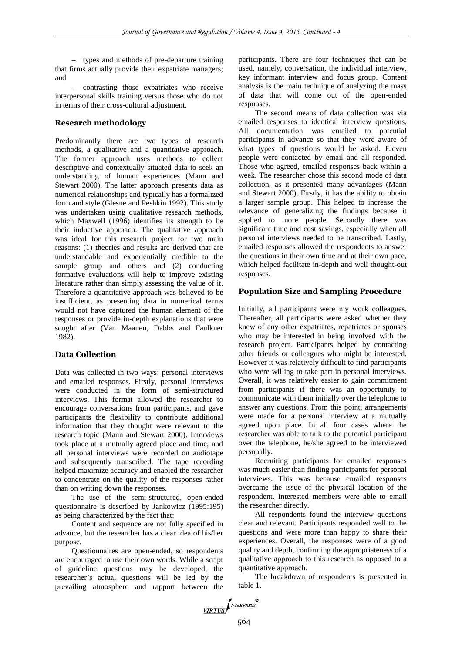types and methods of pre-departure training that firms actually provide their expatriate managers; and

- contrasting those expatriates who receive interpersonal skills training versus those who do not in terms of their cross-cultural adjustment.

## **Research methodology**

Predominantly there are two types of research methods, a qualitative and a quantitative approach. The former approach uses methods to collect descriptive and contextually situated data to seek an understanding of human experiences (Mann and Stewart 2000). The latter approach presents data as numerical relationships and typically has a formalized form and style (Glesne and Peshkin 1992). This study was undertaken using qualitative research methods, which Maxwell (1996) identifies its strength to be their inductive approach. The qualitative approach was ideal for this research project for two main reasons: (1) theories and results are derived that are understandable and experientially credible to the sample group and others and  $(2)$  conducting formative evaluations will help to improve existing literature rather than simply assessing the value of it. Therefore a quantitative approach was believed to be insufficient, as presenting data in numerical terms would not have captured the human element of the responses or provide in-depth explanations that were sought after (Van Maanen, Dabbs and Faulkner 1982).

# **Data Collection**

Data was collected in two ways: personal interviews and emailed responses. Firstly, personal interviews were conducted in the form of semi-structured interviews. This format allowed the researcher to encourage conversations from participants, and gave participants the flexibility to contribute additional information that they thought were relevant to the research topic (Mann and Stewart 2000). Interviews took place at a mutually agreed place and time, and all personal interviews were recorded on audiotape and subsequently transcribed. The tape recording helped maximize accuracy and enabled the researcher to concentrate on the quality of the responses rather than on writing down the responses.

The use of the semi-structured, open-ended questionnaire is described by Jankowicz (1995:195) as being characterized by the fact that:

Content and sequence are not fully specified in advance, but the researcher has a clear idea of his/her purpose.

Questionnaires are open-ended, so respondents are encouraged to use their own words. While a script of guideline questions may be developed, the researcher's actual questions will be led by the prevailing atmosphere and rapport between the

participants. There are four techniques that can be used, namely, conversation, the individual interview, key informant interview and focus group. Content analysis is the main technique of analyzing the mass of data that will come out of the open-ended responses.

The second means of data collection was via emailed responses to identical interview questions. All documentation was emailed to potential participants in advance so that they were aware of what types of questions would be asked. Eleven people were contacted by email and all responded. Those who agreed, emailed responses back within a week. The researcher chose this second mode of data collection, as it presented many advantages (Mann and Stewart 2000). Firstly, it has the ability to obtain a larger sample group. This helped to increase the relevance of generalizing the findings because it applied to more people. Secondly there was significant time and cost savings, especially when all personal interviews needed to be transcribed. Lastly, emailed responses allowed the respondents to answer the questions in their own time and at their own pace, which helped facilitate in-depth and well thought-out responses.

## **Population Size and Sampling Procedure**

Initially, all participants were my work colleagues. Thereafter, all participants were asked whether they knew of any other expatriates, repatriates or spouses who may be interested in being involved with the research project. Participants helped by contacting other friends or colleagues who might be interested. However it was relatively difficult to find participants who were willing to take part in personal interviews. Overall, it was relatively easier to gain commitment from participants if there was an opportunity to communicate with them initially over the telephone to answer any questions. From this point, arrangements were made for a personal interview at a mutually agreed upon place. In all four cases where the researcher was able to talk to the potential participant over the telephone, he/she agreed to be interviewed personally.

Recruiting participants for emailed responses was much easier than finding participants for personal interviews. This was because emailed responses overcame the issue of the physical location of the respondent. Interested members were able to email the researcher directly.

All respondents found the interview questions clear and relevant. Participants responded well to the questions and were more than happy to share their experiences. Overall, the responses were of a good quality and depth, confirming the appropriateness of a qualitative approach to this research as opposed to a quantitative approach.

The breakdown of respondents is presented in table 1.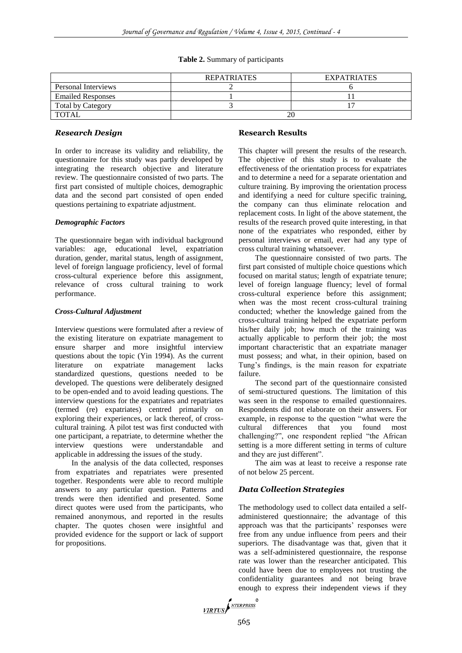#### **Table 2.** Summary of participants

|                          | <b>REPATRIATES</b> | <b>EXPATRIATES</b> |
|--------------------------|--------------------|--------------------|
| Personal Interviews      |                    |                    |
| <b>Emailed Responses</b> |                    |                    |
| <b>Total by Category</b> |                    |                    |
| <b>TOTAL</b>             | 20                 |                    |

## *Research Design*

In order to increase its validity and reliability, the questionnaire for this study was partly developed by integrating the research objective and literature review. The questionnaire consisted of two parts. The first part consisted of multiple choices, demographic data and the second part consisted of open ended questions pertaining to expatriate adjustment.

## *Demographic Factors*

The questionnaire began with individual background variables: age, educational level, expatriation duration, gender, marital status, length of assignment, level of foreign language proficiency, level of formal cross-cultural experience before this assignment, relevance of cross cultural training to work performance.

## *Cross-Cultural Adjustment*

Interview questions were formulated after a review of the existing literature on expatriate management to ensure sharper and more insightful interview questions about the topic (Yin 1994). As the current literature on expatriate management lacks standardized questions, questions needed to be developed. The questions were deliberately designed to be open-ended and to avoid leading questions. The interview questions for the expatriates and repatriates (termed (re) expatriates) centred primarily on exploring their experiences, or lack thereof, of crosscultural training. A pilot test was first conducted with one participant, a repatriate, to determine whether the interview questions were understandable and applicable in addressing the issues of the study.

In the analysis of the data collected, responses from expatriates and repatriates were presented together. Respondents were able to record multiple answers to any particular question. Patterns and trends were then identified and presented. Some direct quotes were used from the participants, who remained anonymous, and reported in the results chapter. The quotes chosen were insightful and provided evidence for the support or lack of support for propositions.

# **Research Results**

This chapter will present the results of the research. The objective of this study is to evaluate the effectiveness of the orientation process for expatriates and to determine a need for a separate orientation and culture training. By improving the orientation process and identifying a need for culture specific training, the company can thus eliminate relocation and replacement costs. In light of the above statement, the results of the research proved quite interesting, in that none of the expatriates who responded, either by personal interviews or email, ever had any type of cross cultural training whatsoever.

The questionnaire consisted of two parts. The first part consisted of multiple choice questions which focused on marital status; length of expatriate tenure; level of foreign language fluency; level of formal cross-cultural experience before this assignment; when was the most recent cross-cultural training conducted; whether the knowledge gained from the cross-cultural training helped the expatriate perform his/her daily job; how much of the training was actually applicable to perform their job; the most important characteristic that an expatriate manager must possess; and what, in their opinion, based on Tung's findings, is the main reason for expatriate failure.

The second part of the questionnaire consisted of semi-structured questions. The limitation of this was seen in the response to emailed questionnaires. Respondents did not elaborate on their answers. For example, in response to the question "what were the cultural differences that you found most challenging?", one respondent replied "the African setting is a more different setting in terms of culture and they are just different".

The aim was at least to receive a response rate of not below 25 percent.

# *Data Collection Strategies*

The methodology used to collect data entailed a selfadministered questionnaire; the advantage of this approach was that the participants' responses were free from any undue influence from peers and their superiors. The disadvantage was that, given that it was a self-administered questionnaire, the response rate was lower than the researcher anticipated. This could have been due to employees not trusting the confidentiality guarantees and not being brave enough to express their independent views if they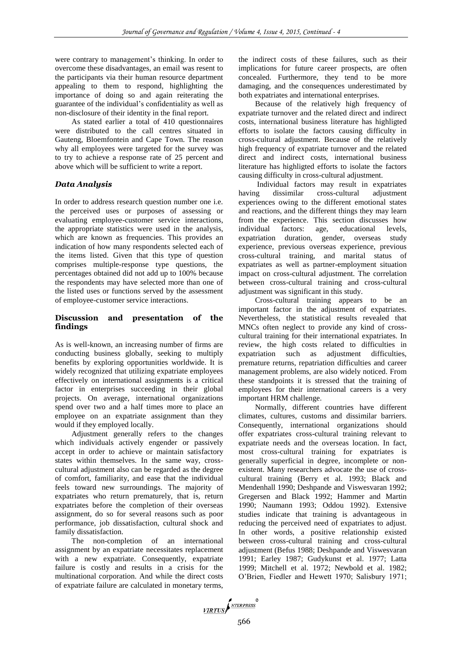were contrary to management's thinking. In order to overcome these disadvantages, an email was resent to the participants via their human resource department appealing to them to respond, highlighting the importance of doing so and again reiterating the guarantee of the individual's confidentiality as well as non-disclosure of their identity in the final report.

As stated earlier a total of 410 questionnaires were distributed to the call centres situated in Gauteng, Bloemfontein and Cape Town. The reason why all employees were targeted for the survey was to try to achieve a response rate of 25 percent and above which will be sufficient to write a report.

## *Data Analysis*

In order to address research question number one i.e. the perceived uses or purposes of assessing or evaluating employee-customer service interactions, the appropriate statistics were used in the analysis, which are known as frequencies. This provides an indication of how many respondents selected each of the items listed. Given that this type of question comprises multiple-response type questions, the percentages obtained did not add up to 100% because the respondents may have selected more than one of the listed uses or functions served by the assessment of employee-customer service interactions.

# **Discussion and presentation of the findings**

As is well-known, an increasing number of firms are conducting business globally, seeking to multiply benefits by exploring opportunities worldwide. It is widely recognized that utilizing expatriate employees effectively on international assignments is a critical factor in enterprises succeeding in their global projects. On average, international organizations spend over two and a half times more to place an employee on an expatriate assignment than they would if they employed locally.

Adjustment generally refers to the changes which individuals actively engender or passively accept in order to achieve or maintain satisfactory states within themselves. In the same way, crosscultural adjustment also can be regarded as the degree of comfort, familiarity, and ease that the individual feels toward new surroundings. The majority of expatriates who return prematurely, that is, return expatriates before the completion of their overseas assignment, do so for several reasons such as poor performance, job dissatisfaction, cultural shock and family dissatisfaction.

The non-completion of an international assignment by an expatriate necessitates replacement with a new expatriate. Consequently, expatriate failure is costly and results in a crisis for the multinational corporation. And while the direct costs of expatriate failure are calculated in monetary terms,

the indirect costs of these failures, such as their implications for future career prospects, are often concealed. Furthermore, they tend to be more damaging, and the consequences underestimated by both expatriates and international enterprises.

Because of the relatively high frequency of expatriate turnover and the related direct and indirect costs, international business literature has highligted efforts to isolate the factors causing difficulty in cross-cultural adjustment. Because of the relatively high frequency of expatriate turnover and the related direct and indirect costs, international business literature has highligted efforts to isolate the factors causing difficulty in cross-cultural adjustment.

Individual factors may result in expatriates having dissimilar cross-cultural adjustment experiences owing to the different emotional states and reactions, and the different things they may learn from the experience. This section discusses how individual factors: age, educational levels, expatriation duration, gender, overseas study experience, previous overseas experience, previous cross-cultural training, and marital status of expatriates as well as partner-employment situation impact on cross-cultural adjustment. The correlation between cross-cultural training and cross-cultural adjustment was significant in this study.

Cross-cultural training appears to be an important factor in the adjustment of expatriates. Nevertheless, the statistical results revealed that MNCs often neglect to provide any kind of crosscultural training for their international expatriates. In review, the high costs related to difficulties in expatriation such as adjustment difficulties, premature returns, repatriation difficulties and career management problems, are also widely noticed. From these standpoints it is stressed that the training of employees for their international careers is a very important HRM challenge.

Normally, different countries have different climates, cultures, customs and dissimilar barriers. Consequently, international organizations should offer expatriates cross-cultural training relevant to expatriate needs and the overseas location. In fact, most cross-cultural training for expatriates is generally superficial in degree, incomplete or nonexistent. Many researchers advocate the use of crosscultural training (Berry et al. 1993; Black and Mendenhall 1990; Deshpande and Viswesvaran 1992; Gregersen and Black 1992; Hammer and Martin 1990; Naumann 1993; Oddou 1992). Extensive studies indicate that training is advantageous in reducing the perceived need of expatriates to adjust. In other words, a positive relationship existed between cross-cultural training and cross-cultural adjustment (Befus 1988; Deshpande and Viswesvaran 1991; Earley 1987; Gudykunst et al. 1977; Latta 1999; Mitchell et al. 1972; Newbold et al. 1982; O'Brien, Fiedler and Hewett 1970; Salisbury 1971;

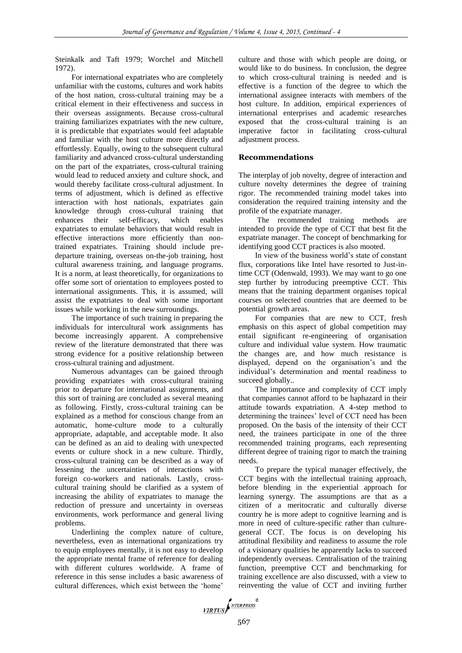Steinkalk and Taft 1979; Worchel and Mitchell 1972).

For international expatriates who are completely unfamiliar with the customs, cultures and work habits of the host nation, cross-cultural training may be a critical element in their effectiveness and success in their overseas assignments. Because cross-cultural training familiarizes expatriates with the new culture, it is predictable that expatriates would feel adaptable and familiar with the host culture more directly and effortlessly. Equally, owing to the subsequent cultural familiarity and advanced cross-cultural understanding on the part of the expatriates, cross-cultural training would lead to reduced anxiety and culture shock, and would thereby facilitate cross-cultural adjustment. In terms of adjustment, which is defined as effective interaction with host nationals, expatriates gain knowledge through cross-cultural training that enhances their self-efficacy, which enables expatriates to emulate behaviors that would result in effective interactions more efficiently than nontrained expatriates. Training should include predeparture training, overseas on-the-job training, host cultural awareness training, and language programs. It is a norm, at least theoretically, for organizations to offer some sort of orientation to employees posted to international assignments. This, it is assumed, will assist the expatriates to deal with some important issues while working in the new surroundings.

The importance of such training in preparing the individuals for intercultural work assignments has become increasingly apparent. A comprehensive review of the literature demonstrated that there was strong evidence for a positive relationship between cross-cultural training and adjustment.

Numerous advantages can be gained through providing expatriates with cross-cultural training prior to departure for international assignments, and this sort of training are concluded as several meaning as following. Firstly, cross-cultural training can be explained as a method for conscious change from an automatic, home-culture mode to a culturally appropriate, adaptable, and acceptable mode. It also can be defined as an aid to dealing with unexpected events or culture shock in a new culture. Thirdly, cross-cultural training can be described as a way of lessening the uncertainties of interactions with foreign co-workers and nationals. Lastly, crosscultural training should be clarified as a system of increasing the ability of expatriates to manage the reduction of pressure and uncertainty in overseas environments, work performance and general living problems.

Underlining the complex nature of culture, nevertheless, even as international organizations try to equip employees mentally, it is not easy to develop the appropriate mental frame of reference for dealing with different cultures worldwide. A frame of reference in this sense includes a basic awareness of cultural differences, which exist between the 'home'

culture and those with which people are doing, or would like to do business. In conclusion, the degree to which cross-cultural training is needed and is effective is a function of the degree to which the international assignee interacts with members of the host culture. In addition, empirical experiences of international enterprises and academic researches exposed that the cross-cultural training is an imperative factor in facilitating cross-cultural adjustment process.

#### **Recommendations**

The interplay of job novelty, degree of interaction and culture novelty determines the degree of training rigor. The recommended training model takes into consideration the required training intensity and the profile of the expatriate manager.

The recommended training methods are intended to provide the type of CCT that best fit the expatriate manager. The concept of benchmarking for identifying good CCT practices is also mooted.

In view of the business world's state of constant flux, corporations like Intel have resorted to Just-intime CCT (Odenwald, 1993). We may want to go one step further by introducing preemptive CCT. This means that the training department organises topical courses on selected countries that are deemed to be potential growth areas.

For companies that are new to CCT, fresh emphasis on this aspect of global competition may entail significant re-engineering of organisation culture and individual value system. How traumatic the changes are, and how much resistance is displayed, depend on the organisation's and the individual's determination and mental readiness to succeed globally..

The importance and complexity of CCT imply that companies cannot afford to be haphazard in their attitude towards expatriation. A 4-step method to determining the trainees' level of CCT need has been proposed. On the basis of the intensity of their CCT need, the trainees participate in one of the three recommended training programs, each representing different degree of training rigor to match the training needs.

To prepare the typical manager effectively, the CCT begins with the intellectual training approach, before blending in the experiential approach for learning synergy. The assumptions are that as a citizen of a meritocratic and culturally diverse country he is more adept to cognitive learning and is more in need of culture-specific rather than culturegeneral CCT. The focus is on developing his attitudinal flexibility and readiness to assume the role of a visionary qualities he apparently lacks to succeed independently overseas. Centralisation of the training function, preemptive CCT and benchmarking for training excellence are also discussed, with a view to reinventing the value of CCT and inviting further

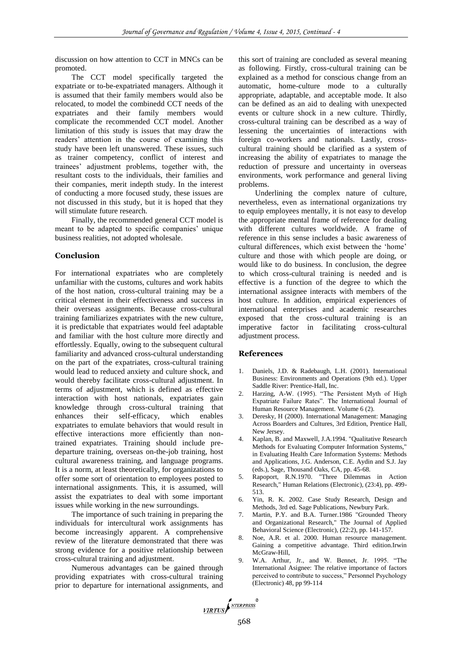discussion on how attention to CCT in MNCs can be promoted.

The CCT model specifically targeted the expatriate or to-be-expatriated managers. Although it is assumed that their family members would also be relocated, to model the combinedd CCT needs of the expatriates and their family members would complicate the recommended CCT model. Another limitation of this study is issues that may draw the readers' attention in the course of examining this study have been left unanswered. These issues, such as trainer competency, conflict of interest and trainees' adjustment problems, together with, the resultant costs to the individuals, their families and their companies, merit indepth study. In the interest of conducting a more focused study, these issues are not discussed in this study, but it is hoped that they will stimulate future research.

Finally, the recommended general CCT model is meant to be adapted to specific companies' unique business realities, not adopted wholesale.

## **Conclusion**

For international expatriates who are completely unfamiliar with the customs, cultures and work habits of the host nation, cross-cultural training may be a critical element in their effectiveness and success in their overseas assignments. Because cross-cultural training familiarizes expatriates with the new culture, it is predictable that expatriates would feel adaptable and familiar with the host culture more directly and effortlessly. Equally, owing to the subsequent cultural familiarity and advanced cross-cultural understanding on the part of the expatriates, cross-cultural training would lead to reduced anxiety and culture shock, and would thereby facilitate cross-cultural adjustment. In terms of adjustment, which is defined as effective interaction with host nationals, expatriates gain knowledge through cross-cultural training that enhances their self-efficacy, which enables expatriates to emulate behaviors that would result in effective interactions more efficiently than nontrained expatriates. Training should include predeparture training, overseas on-the-job training, host cultural awareness training, and language programs. It is a norm, at least theoretically, for organizations to offer some sort of orientation to employees posted to international assignments. This, it is assumed, will assist the expatriates to deal with some important issues while working in the new surroundings.

The importance of such training in preparing the individuals for intercultural work assignments has become increasingly apparent. A comprehensive review of the literature demonstrated that there was strong evidence for a positive relationship between cross-cultural training and adjustment.

Numerous advantages can be gained through providing expatriates with cross-cultural training prior to departure for international assignments, and this sort of training are concluded as several meaning as following. Firstly, cross-cultural training can be explained as a method for conscious change from an automatic, home-culture mode to a culturally appropriate, adaptable, and acceptable mode. It also can be defined as an aid to dealing with unexpected events or culture shock in a new culture. Thirdly, cross-cultural training can be described as a way of lessening the uncertainties of interactions with foreign co-workers and nationals. Lastly, crosscultural training should be clarified as a system of increasing the ability of expatriates to manage the reduction of pressure and uncertainty in overseas environments, work performance and general living problems.

Underlining the complex nature of culture, nevertheless, even as international organizations try to equip employees mentally, it is not easy to develop the appropriate mental frame of reference for dealing with different cultures worldwide. A frame of reference in this sense includes a basic awareness of cultural differences, which exist between the 'home' culture and those with which people are doing, or would like to do business. In conclusion, the degree to which cross-cultural training is needed and is effective is a function of the degree to which the international assignee interacts with members of the host culture. In addition, empirical experiences of international enterprises and academic researches exposed that the cross-cultural training is an imperative factor in facilitating cross-cultural adjustment process.

## **References**

- 1. Daniels, J.D. & Radebaugh, L.H. (2001). International Business: Environments and Operations (9th ed.). Upper Saddle River: Prentice-Hall, Inc.
- Harzing, A-W. (1995). "The Persistent Myth of High Expatriate Failure Rates". The International Journal of Human Resource Management. Volume 6 (2).
- 3. Deresky, H (2000). International Management: Managing Across Boarders and Cultures, 3rd Edition, Prentice Hall, New Jersey.
- 4. Kaplan, B. and Maxwell, J.A.1994. "Qualitative Research Methods for Evaluating Computer Information Systems," in Evaluating Health Care Information Systems: Methods and Applications, J.G. Anderson, C.E. Aydin and S.J. Jay (eds.), Sage, Thousand Oaks, CA, pp. 45-68.
- 5. Rapoport, R.N.1970. "Three Dilemmas in Action Research," Human Relations (Electronic), (23:4), pp. 499- 513.
- 6. Yin, R. K. 2002. Case Study Research, Design and Methods, 3rd ed. Sage Publications, Newbury Park.
- 7. Martin, P.Y. and B.A. Turner.1986 "Grounded Theory and Organizational Research," The Journal of Applied Behavioral Science (Electronic), (22:2), pp. 141-157.
- Noe, A.R. et al. 2000. Human resource management. Gaining a competitive advantage. Third edition.Irwin McGraw-Hill,
- 9. W.A. Arthur, Jr., and W. Bennet, Jr. 1995. "The International Asignee: The relative importance of factors perceived to contribute to success," Personnel Psychology (Electronic) 48, pp 99-114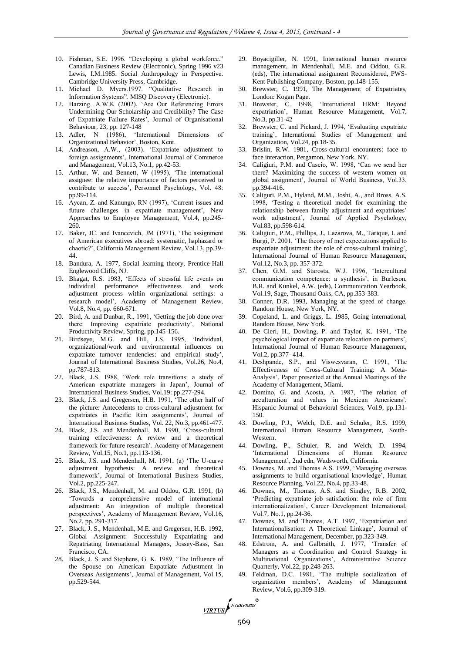- 10. Fishman, S.E. 1996. "Developing a global workforce." Canadian Business Review (Electronic), Spring 1996 v23 Lewis, I.M.1985. Social Anthropology in Perspective. Cambridge University Press, Cambridge.
- 11. Michael D. Myers.1997. "Qualitative Research in Information Systems". MISQ Discovery (Electronic).
- 12. Harzing. A.W.K (2002), 'Are Our Referencing Errors Undermining Our Scholarship and Credibility? The Case of Expatriate Failure Rates', Journal of Organisational Behaviour, 23, pp. 127-148
- 13. Adler, N (1986), 'International Dimensions of Organizational Behavior', Boston, Kent.
- 14. Andreason, A.W., (2003). 'Expatriate adjustment to foreign assignments', International Journal of Commerce and Management, Vol.13, No.1, pp.42-53.
- 15. Arthur, W. and Bennett, W (1995), 'The international assignee: the relative importance of factors perceived to contribute to success', Personnel Psychology, Vol. 48: pp.99-114.
- 16. Aycan, Z. and Kanungo, RN (1997), 'Current issues and future challenges in expatriate management', New Approaches to Employee Management, Vol.4, pp.245- 260.
- 17. Baker, JC. and Ivancevich, JM (1971), 'The assignment of American executives abroad: systematic, haphazard or chaotic?', California Management Review, Vol.13, pp.39- 44.
- 18. Bandura, A. 1977, Social learning theory, Prentice-Hall Englewood Cliffs, NJ.
- 19. Bhagat, R.S. 1983, 'Effects of stressful life events on individual performance effectiveness and work adjustment process within organizational settings: a research model', Academy of Management Review, Vol.8, No.4, pp. 660-671.
- 20. Bird, A. and Dunbar, R., 1991, 'Getting the job done over there: Improving expatriate productivity', National Productivity Review, Spring, pp.145-156.
- 21. Birdseye, M.G. and Hill, J.S. 1995, 'Individual, organizational/work and environmental influences on expatriate turnover tendencies: and empirical study', Journal of International Business Studies, Vol.26, No.4, pp.787-813.
- 22. Black, J.S. 1988, 'Work role transitions: a study of American expatriate managers in Japan', Journal of International Business Studies, Vol.19: pp.277-294.
- 23. Black, J.S. and Gregersen, H.B. 1991, 'The other half of the picture: Antecedents to cross-cultural adjustment for expatriates in Pacific Rim assignments', Journal of International Business Studies, Vol. 22, No.3, pp.461-477.
- 24. Black, J.S. and Mendenhall, M. 1990, 'Cross-cultural training effectiveness: A review and a theoretical framework for future research'. Academy of Management Review, Vol.15, No.1, pp.113-136.
- 25. Black, J.S. and Mendenhall, M. 1991, (a) 'The U-curve adjustment hypothesis: A review and theoretical framework', Journal of International Business Studies, Vol.2, pp.225-247.
- 26. Black, J.S., Mendenhall, M. and Oddou, G.R. 1991, (b) 'Towards a comprehensive model of international adjustment: An integration of multiple theoretical perspectives', Academy of Management Review, Vol.16, No.2, pp. 291-317.
- 27. Black, J. S., Mendenhall, M.E. and Gregersen, H.B. 1992, Global Assignment: Successfully Expatriating and Repatriating International Managers, Jossey-Bass, San Francisco, CA.
- 28. Black, J. S. and Stephens, G. K. 1989, 'The Influence of the Spouse on American Expatriate Adjustment in Overseas Assignments', Journal of Management, Vol.15, pp.529-544.
- 29. Boyacigiller, N. 1991, International human resource management, in Mendenhall, M.E. and Oddou, G.R. (eds), The international assignment Reconsidered, PWS-Kent Publishing Company, Boston, pp.148-155.
- 30. Brewster, C. 1991, The Management of Expatriates, London: Kogan Page.
- 31. Brewster, C. 1998, 'International HRM: Beyond expatriation', Human Resource Management, Vol.7, No.3, pp.31-42
- 32. Brewster, C. and Pickard, J. 1994, 'Evaluating expatriate training', International Studies of Management and Organization, Vol.24, pp.18-35.
- 33. Brislin, R.W. 1981, Cross-cultural encounters: face to face interaction, Pergamon, New York, NY.
- 34. Caligiuri, P.M. and Cascio, W. 1998, 'Can we send her there? Maximizing the success of western women on global assignment', Journal of World Business, Vol.33, pp.394-416.
- 35. Caliguri, P.M., Hyland, M.M., Joshi, A., and Bross, A.S. 1998, 'Testing a theoretical model for examining the relationship between family adjustment and expatriates' work adjustment', Journal of Applied Psychology, Vol.83, pp.598-614.
- 36. Caligiuri, P.M., Phillips, J., Lazarova, M., Tarique, I. and Burgi, P. 2001, 'The theory of met expectations applied to expatriate adjustment: the role of cross-cultural training', International Journal of Human Resource Management, Vol.12, No.3, pp. 357-372.
- 37. Chen, G.M. and Starosta, W.J. 1996, 'Intercultural communication competence: a synthesis', in Burleson, B.R. and Kunkel, A.W. (eds), Communication Yearbook, Vol.19, Sage, Thousand Oaks, CA, pp.353-383.
- 38. Conner, D.R. 1993, Managing at the speed of change, Random House, New York, NY.
- 39. Copeland, L. and Griggs, L. 1985, Going international, Random House, New York.
- 40. De Cieri, H., Dowling, P. and Taylor, K. 1991, 'The psychological impact of expatriate relocation on partners', International Journal of Human Resource Management, Vol.2, pp.377- 414.
- 41. Deshpande, S.P., and Viswesvaran, C. 1991, 'The Effectiveness of Cross-Cultural Training: A Meta-Analysis', Paper presented at the Annual Meetings of the Academy of Management, Miami.
- 42. Domino, G. and Acosta, A. 1987, 'The relation of acculturation and values in Mexican Americans', Hispanic Journal of Behavioral Sciences, Vol.9, pp.131- 150.
- 43. Dowling, P.J., Welch, D.E. and Schuler, R.S. 1999, International Human Resource Management, South-Western.
- 44. Dowling, P., Schuler, R. and Welch, D. 1994, 'International Dimensions of Human Resource Management', 2nd edn, Wadsworth, California.
- 45. Downes, M. and Thomas A.S. 1999, 'Managing overseas assignments to build organisational knowledge', Human Resource Planning, Vol.22, No.4, pp.33-48.
- 46. Downes, M., Thomas, A.S. and Singley, R.B. 2002, 'Predicting expatriate job satisfaction: the role of firm internationalization', Career Development International, Vol.7, No.1, pp.24-36.
- 47. Downes, M. and Thomas, A.T. 1997, 'Expatriation and Internationalisation: A Theoretical Linkage', Journal of International Management, December, pp.323-349.
- 48. Edstrom, A. and Galbraith, J. 1977, 'Transfer of Managers as a Coordination and Control Strategy in Multinational Organizations', Administrative Science Quarterly, Vol.22, pp.248-263.
- 49. Feldman, D.C. 1981, 'The multiple socialization of organization members', Academy of Management Review, Vol.6, pp.309-319.